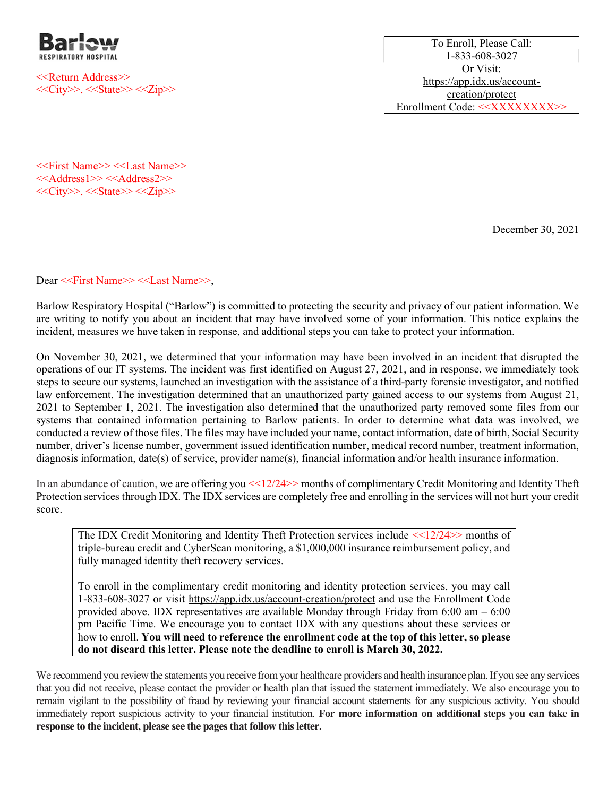

<<Return Address>>  $<<$ City>>,  $<<$ State>> $<<$ Zip>>

To Enroll, Please Call: 1-833-608-3027 Or Visit: https://app.idx.us/accountcreation/protect Enrollment Code: <<XXXXXXXX>>

<<First Name>> <<Last Name>>  $<<$ Address $1>><<$ Address $2>>$  $<<$ City>>,  $<<$ State>> $<<$ Zip>>

December 30, 2021

Dear <<First Name>> <<Last Name>>,

Barlow Respiratory Hospital ("Barlow") is committed to protecting the security and privacy of our patient information. We are writing to notify you about an incident that may have involved some of your information. This notice explains the incident, measures we have taken in response, and additional steps you can take to protect your information.

On November 30, 2021, we determined that your information may have been involved in an incident that disrupted the operations of our IT systems. The incident was first identified on August 27, 2021, and in response, we immediately took steps to secure our systems, launched an investigation with the assistance of a third-party forensic investigator, and notified law enforcement. The investigation determined that an unauthorized party gained access to our systems from August 21, 2021 to September 1, 2021. The investigation also determined that the unauthorized party removed some files from our systems that contained information pertaining to Barlow patients. In order to determine what data was involved, we conducted a review of those files. The files may have included your name, contact information, date of birth, Social Security number, driver's license number, government issued identification number, medical record number, treatment information, diagnosis information, date(s) of service, provider name(s), financial information and/or health insurance information.

In an abundance of caution, we are offering you  $\leq 12/24$  months of complimentary Credit Monitoring and Identity Theft Protection services through IDX. The IDX services are completely free and enrolling in the services will not hurt your credit score.

The IDX Credit Monitoring and Identity Theft Protection services include  $\ll$ 12/24 $\gg$  months of triple-bureau credit and CyberScan monitoring, a \$1,000,000 insurance reimbursement policy, and fully managed identity theft recovery services.

To enroll in the complimentary credit monitoring and identity protection services, you may call 1-833-608-3027 or visit https://app.idx.us/account-creation/protect and use the Enrollment Code provided above. IDX representatives are available Monday through Friday from  $6:00 \text{ am} - 6:00$ pm Pacific Time. We encourage you to contact IDX with any questions about these services or how to enroll. You will need to reference the enrollment code at the top of this letter, so please do not discard this letter. Please note the deadline to enroll is March 30, 2022.

We recommend you review the statements you receive from your healthcare providers and health insurance plan. If you see any services that you did not receive, please contact the provider or health plan that issued the statement immediately. We also encourage you to remain vigilant to the possibility of fraud by reviewing your financial account statements for any suspicious activity. You should immediately report suspicious activity to your financial institution. For more information on additional steps you can take in response to the incident, please see the pages that follow this letter.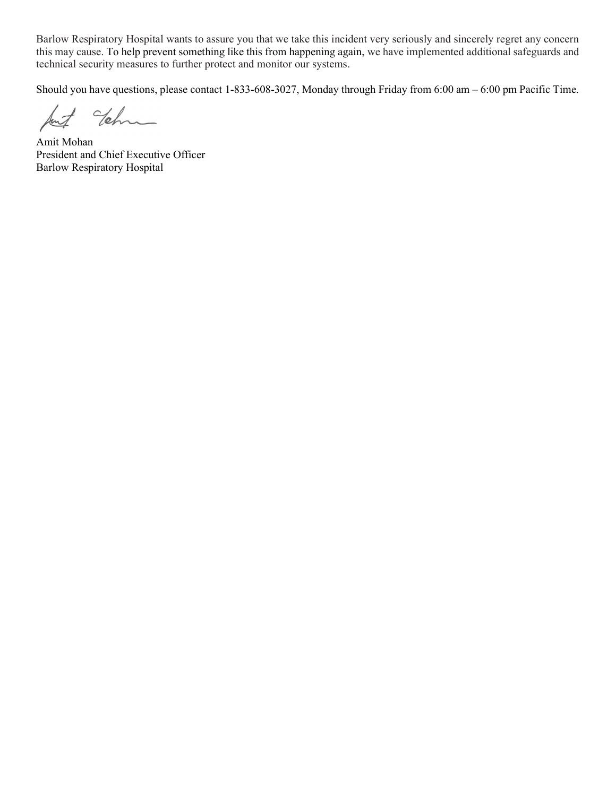Barlow Respiratory Hospital wants to assure you that we take this incident very seriously and sincerely regret any concern this may cause. To help prevent something like this from happening again, we have implemented additional safeguards and technical security measures to further protect and monitor our systems.

Should you have questions, please contact 1-833-608-3027, Monday through Friday from 6:00 am – 6:00 pm Pacific Time.

Junt dehm

Amit Mohan President and Chief Executive Officer Barlow Respiratory Hospital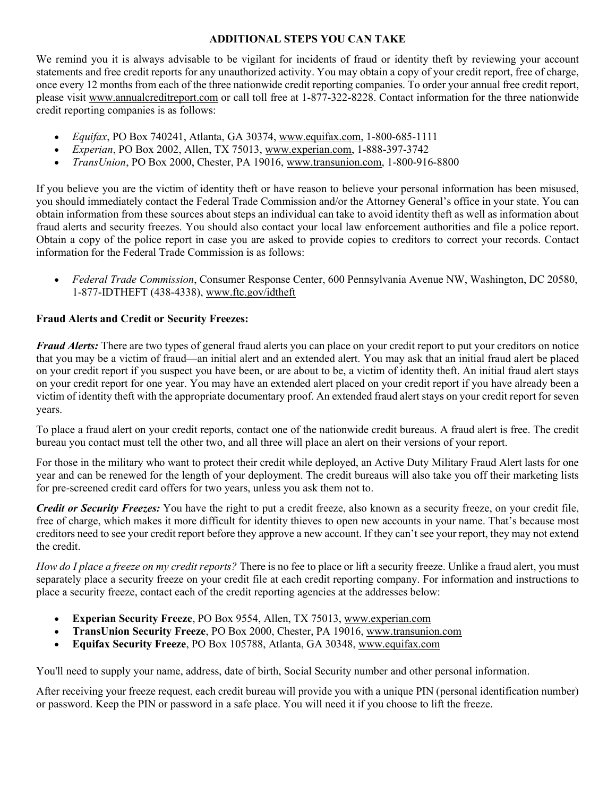## ADDITIONAL STEPS YOU CAN TAKE

We remind you it is always advisable to be vigilant for incidents of fraud or identity theft by reviewing your account statements and free credit reports for any unauthorized activity. You may obtain a copy of your credit report, free of charge, once every 12 months from each of the three nationwide credit reporting companies. To order your annual free credit report, please visit www.annualcreditreport.com or call toll free at 1-877-322-8228. Contact information for the three nationwide credit reporting companies is as follows:

- Equifax, PO Box 740241, Atlanta, GA 30374, www.equifax.com, 1-800-685-1111
- Experian, PO Box 2002, Allen, TX 75013, www.experian.com, 1-888-397-3742
- TransUnion, PO Box 2000, Chester, PA 19016, www.transunion.com, 1-800-916-8800

If you believe you are the victim of identity theft or have reason to believe your personal information has been misused, you should immediately contact the Federal Trade Commission and/or the Attorney General's office in your state. You can obtain information from these sources about steps an individual can take to avoid identity theft as well as information about fraud alerts and security freezes. You should also contact your local law enforcement authorities and file a police report. Obtain a copy of the police report in case you are asked to provide copies to creditors to correct your records. Contact information for the Federal Trade Commission is as follows:

 Federal Trade Commission, Consumer Response Center, 600 Pennsylvania Avenue NW, Washington, DC 20580, 1-877-IDTHEFT (438-4338), www.ftc.gov/idtheft

## Fraud Alerts and Credit or Security Freezes:

Fraud Alerts: There are two types of general fraud alerts you can place on your credit report to put your creditors on notice that you may be a victim of fraud—an initial alert and an extended alert. You may ask that an initial fraud alert be placed on your credit report if you suspect you have been, or are about to be, a victim of identity theft. An initial fraud alert stays on your credit report for one year. You may have an extended alert placed on your credit report if you have already been a victim of identity theft with the appropriate documentary proof. An extended fraud alert stays on your credit report for seven years.

To place a fraud alert on your credit reports, contact one of the nationwide credit bureaus. A fraud alert is free. The credit bureau you contact must tell the other two, and all three will place an alert on their versions of your report.

For those in the military who want to protect their credit while deployed, an Active Duty Military Fraud Alert lasts for one year and can be renewed for the length of your deployment. The credit bureaus will also take you off their marketing lists for pre-screened credit card offers for two years, unless you ask them not to.

Credit or Security Freezes: You have the right to put a credit freeze, also known as a security freeze, on your credit file, free of charge, which makes it more difficult for identity thieves to open new accounts in your name. That's because most creditors need to see your credit report before they approve a new account. If they can't see your report, they may not extend the credit.

How do I place a freeze on my credit reports? There is no fee to place or lift a security freeze. Unlike a fraud alert, you must separately place a security freeze on your credit file at each credit reporting company. For information and instructions to place a security freeze, contact each of the credit reporting agencies at the addresses below:

- Experian Security Freeze, PO Box 9554, Allen, TX 75013, www.experian.com
- TransUnion Security Freeze, PO Box 2000, Chester, PA 19016, www.transunion.com
- Equifax Security Freeze, PO Box 105788, Atlanta, GA 30348, www.equifax.com

You'll need to supply your name, address, date of birth, Social Security number and other personal information.

After receiving your freeze request, each credit bureau will provide you with a unique PIN (personal identification number) or password. Keep the PIN or password in a safe place. You will need it if you choose to lift the freeze.